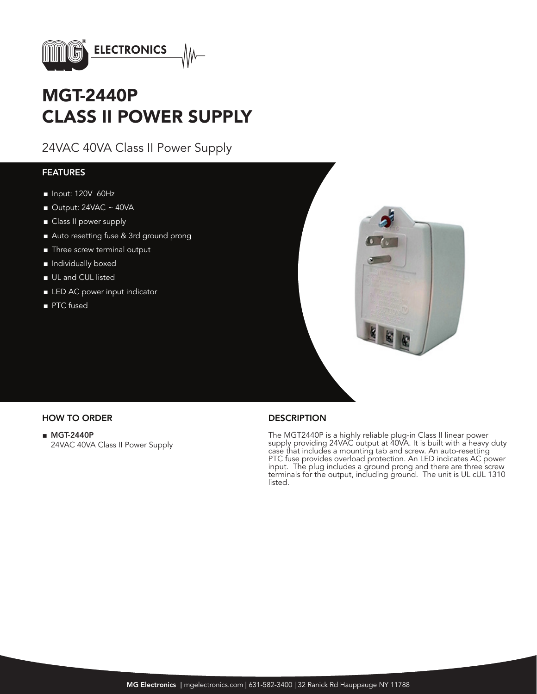

# MGT-2440P CLASS II POWER SUPPLY

24VAC 40VA Class II Power Supply

### FEATURES

- Input: 120V 60Hz
- $\blacksquare$  Output: 24VAC ~ 40VA
- Class II power supply
- Auto resetting fuse & 3rd ground prong
- Three screw terminal output
- Individually boxed
- UL and CUL listed
- LED AC power input indicator
- PTC fused



### HOW TO ORDER DESCRIPTION

■ MGT-2440P 24VAC 40VA Class II Power Supply

The MGT2440P is a highly reliable plug-in Class II linear power supply providing 24VAC output at 40VA. It is built with a heavy duty case that includes a mounting tab and screw. An auto-resetting PTC fuse provides overload protection. An LED indicates AC power input. The plug includes a ground prong and there are three screw terminals for the output, including ground. The unit is UL cUL 1310 listed.